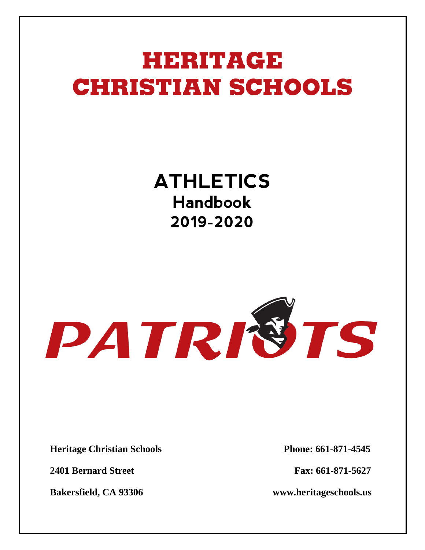## HERITAGE **CHRISTIAN SCHOOLS**

### **ATHLETICS Handbook 2019-2020**

# PATRISTS

**Heritage Christian Schools Phone: 661-871-4545**

**2401 Bernard Street Fax: 661-871-5627**

**Bakersfield, CA 93306 www.heritageschools.us**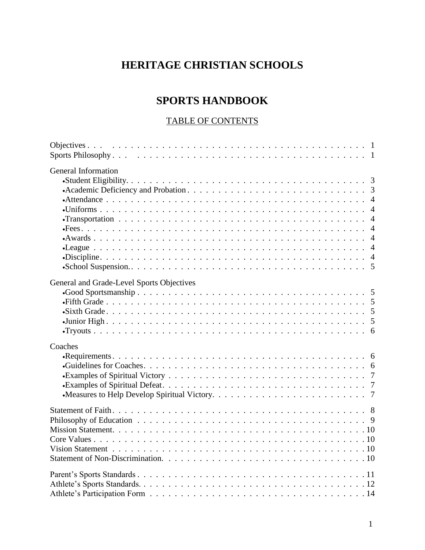#### **HERITAGE CHRISTIAN SCHOOLS**

#### **SPORTS HANDBOOK**

#### TABLE OF CONTENTS

| General Information                       |  |
|-------------------------------------------|--|
| General and Grade-Level Sports Objectives |  |
| Coaches                                   |  |
|                                           |  |
|                                           |  |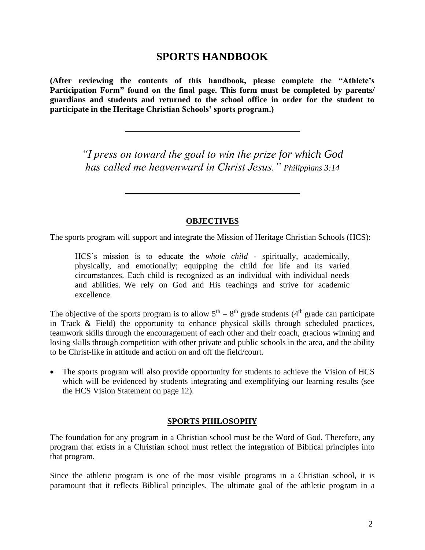#### **SPORTS HANDBOOK**

**(After reviewing the contents of this handbook, please complete the "Athlete's Participation Form" found on the final page. This form must be completed by parents/ guardians and students and returned to the school office in order for the student to participate in the Heritage Christian Schools' sports program.)**

> *"I press on toward the goal to win the prize for which God has called me heavenward in Christ Jesus." Philippians 3:14*

#### **OBJECTIVES**

The sports program will support and integrate the Mission of Heritage Christian Schools (HCS):

HCS's mission is to educate the *whole child* - spiritually, academically, physically, and emotionally; equipping the child for life and its varied circumstances. Each child is recognized as an individual with individual needs and abilities. We rely on God and His teachings and strive for academic excellence.

The objective of the sports program is to allow  $5<sup>th</sup> - 8<sup>th</sup>$  grade students (4<sup>th</sup> grade can participate in Track & Field) the opportunity to enhance physical skills through scheduled practices, teamwork skills through the encouragement of each other and their coach, gracious winning and losing skills through competition with other private and public schools in the area, and the ability to be Christ-like in attitude and action on and off the field/court.

• The sports program will also provide opportunity for students to achieve the Vision of HCS which will be evidenced by students integrating and exemplifying our learning results (see the HCS Vision Statement on page 12).

#### **SPORTS PHILOSOPHY**

The foundation for any program in a Christian school must be the Word of God. Therefore, any program that exists in a Christian school must reflect the integration of Biblical principles into that program.

Since the athletic program is one of the most visible programs in a Christian school, it is paramount that it reflects Biblical principles. The ultimate goal of the athletic program in a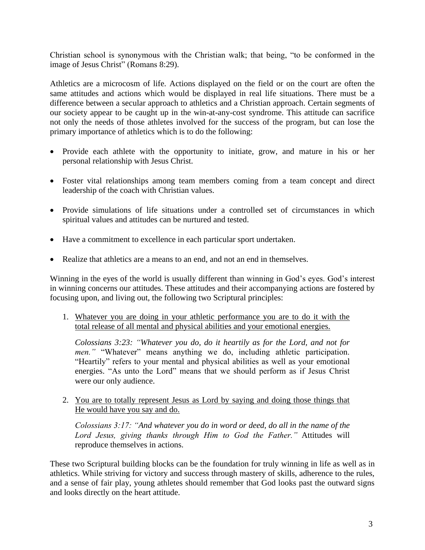Christian school is synonymous with the Christian walk; that being, "to be conformed in the image of Jesus Christ" (Romans 8:29).

Athletics are a microcosm of life. Actions displayed on the field or on the court are often the same attitudes and actions which would be displayed in real life situations. There must be a difference between a secular approach to athletics and a Christian approach. Certain segments of our society appear to be caught up in the win-at-any-cost syndrome. This attitude can sacrifice not only the needs of those athletes involved for the success of the program, but can lose the primary importance of athletics which is to do the following:

- Provide each athlete with the opportunity to initiate, grow, and mature in his or her personal relationship with Jesus Christ.
- Foster vital relationships among team members coming from a team concept and direct leadership of the coach with Christian values.
- Provide simulations of life situations under a controlled set of circumstances in which spiritual values and attitudes can be nurtured and tested.
- Have a commitment to excellence in each particular sport undertaken.
- Realize that athletics are a means to an end, and not an end in themselves.

Winning in the eyes of the world is usually different than winning in God's eyes. God's interest in winning concerns our attitudes. These attitudes and their accompanying actions are fostered by focusing upon, and living out, the following two Scriptural principles:

1. Whatever you are doing in your athletic performance you are to do it with the total release of all mental and physical abilities and your emotional energies.

*Colossians 3:23: "Whatever you do, do it heartily as for the Lord, and not for men.*" "Whatever" means anything we do, including athletic participation. "Heartily" refers to your mental and physical abilities as well as your emotional energies. "As unto the Lord" means that we should perform as if Jesus Christ were our only audience.

2. You are to totally represent Jesus as Lord by saying and doing those things that He would have you say and do.

*Colossians 3:17: "And whatever you do in word or deed, do all in the name of the Lord Jesus, giving thanks through Him to God the Father."* Attitudes will reproduce themselves in actions.

These two Scriptural building blocks can be the foundation for truly winning in life as well as in athletics. While striving for victory and success through mastery of skills, adherence to the rules, and a sense of fair play, young athletes should remember that God looks past the outward signs and looks directly on the heart attitude.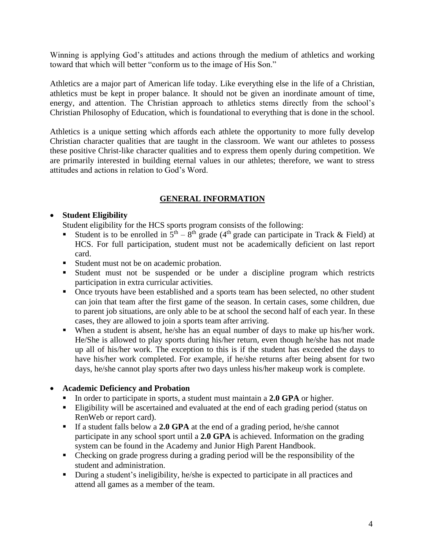Winning is applying God's attitudes and actions through the medium of athletics and working toward that which will better "conform us to the image of His Son."

Athletics are a major part of American life today. Like everything else in the life of a Christian, athletics must be kept in proper balance. It should not be given an inordinate amount of time, energy, and attention. The Christian approach to athletics stems directly from the school's Christian Philosophy of Education, which is foundational to everything that is done in the school.

Athletics is a unique setting which affords each athlete the opportunity to more fully develop Christian character qualities that are taught in the classroom. We want our athletes to possess these positive Christ-like character qualities and to express them openly during competition. We are primarily interested in building eternal values in our athletes; therefore, we want to stress attitudes and actions in relation to God's Word.

#### **GENERAL INFORMATION**

#### • **Student Eligibility**

Student eligibility for the HCS sports program consists of the following:

- **Example 1** Student is to be enrolled in  $5<sup>th</sup> 8<sup>th</sup>$  grade (4<sup>th</sup> grade can participate in Track & Field) at HCS. For full participation, student must not be academically deficient on last report card.
- Student must not be on academic probation.
- Student must not be suspended or be under a discipline program which restricts participation in extra curricular activities.
- Once tryouts have been established and a sports team has been selected, no other student can join that team after the first game of the season. In certain cases, some children, due to parent job situations, are only able to be at school the second half of each year. In these cases, they are allowed to join a sports team after arriving.
- When a student is absent, he/she has an equal number of days to make up his/her work. He/She is allowed to play sports during his/her return, even though he/she has not made up all of his/her work. The exception to this is if the student has exceeded the days to have his/her work completed. For example, if he/she returns after being absent for two days, he/she cannot play sports after two days unless his/her makeup work is complete.

#### • **Academic Deficiency and Probation**

- In order to participate in sports, a student must maintain a **2.0 GPA** or higher.
- **Eligibility will be ascertained and evaluated at the end of each grading period (status on** RenWeb or report card).
- If a student falls below a **2.0 GPA** at the end of a grading period, he/she cannot participate in any school sport until a **2.0 GPA** is achieved. Information on the grading system can be found in the Academy and Junior High Parent Handbook.
- Checking on grade progress during a grading period will be the responsibility of the student and administration.
- During a student's ineligibility, he/she is expected to participate in all practices and attend all games as a member of the team.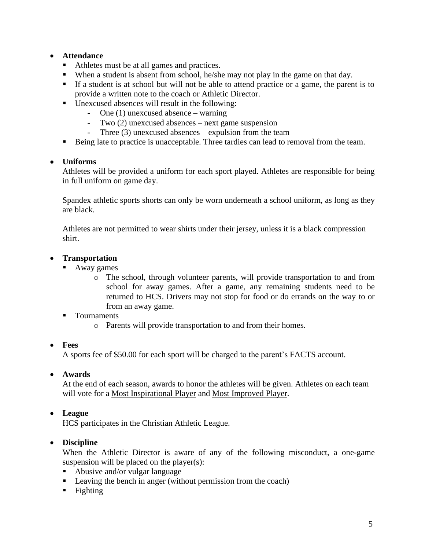#### • **Attendance**

- Athletes must be at all games and practices.
- When a student is absent from school, he/she may not play in the game on that day.
- If a student is at school but will not be able to attend practice or a game, the parent is to provide a written note to the coach or Athletic Director.
- Unexcused absences will result in the following:
	- One (1) unexcused absence warning
	- Two (2) unexcused absences next game suspension
	- Three (3) unexcused absences expulsion from the team
- Being late to practice is unacceptable. Three tardies can lead to removal from the team.

#### • **Uniforms**

Athletes will be provided a uniform for each sport played. Athletes are responsible for being in full uniform on game day.

Spandex athletic sports shorts can only be worn underneath a school uniform, as long as they are black.

Athletes are not permitted to wear shirts under their jersey, unless it is a black compression shirt.

#### • **Transportation**

- Away games
	- o The school, through volunteer parents, will provide transportation to and from school for away games. After a game, any remaining students need to be returned to HCS. Drivers may not stop for food or do errands on the way to or from an away game.
- Tournaments
	- o Parents will provide transportation to and from their homes.

#### • **Fees**

A sports fee of \$50.00 for each sport will be charged to the parent's FACTS account.

#### • **Awards**

At the end of each season, awards to honor the athletes will be given. Athletes on each team will vote for a Most Inspirational Player and Most Improved Player.

#### • **League**

HCS participates in the Christian Athletic League.

#### • **Discipline**

When the Athletic Director is aware of any of the following misconduct, a one-game suspension will be placed on the player(s):

- Abusive and/or vulgar language
- Leaving the bench in anger (without permission from the coach)
- $\blacksquare$  Fighting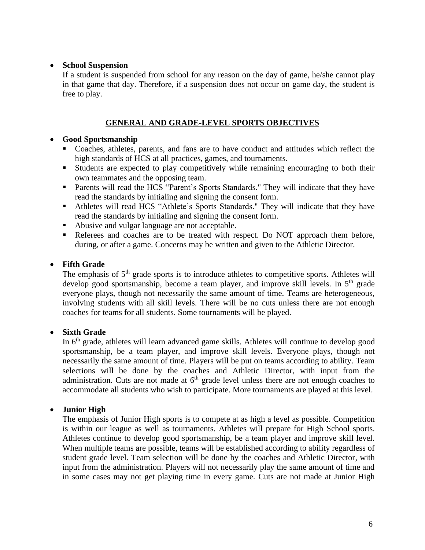#### • **School Suspension**

If a student is suspended from school for any reason on the day of game, he/she cannot play in that game that day. Therefore, if a suspension does not occur on game day, the student is free to play.

#### **GENERAL AND GRADE-LEVEL SPORTS OBJECTIVES**

#### • **Good Sportsmanship**

- Coaches, athletes, parents, and fans are to have conduct and attitudes which reflect the high standards of HCS at all practices, games, and tournaments.
- Students are expected to play competitively while remaining encouraging to both their own teammates and the opposing team.
- Parents will read the HCS "Parent's Sports Standards." They will indicate that they have read the standards by initialing and signing the consent form.
- Athletes will read HCS "Athlete's Sports Standards." They will indicate that they have read the standards by initialing and signing the consent form.
- Abusive and vulgar language are not acceptable.
- Referees and coaches are to be treated with respect. Do NOT approach them before, during, or after a game. Concerns may be written and given to the Athletic Director.

#### • **Fifth Grade**

The emphasis of  $5<sup>th</sup>$  grade sports is to introduce athletes to competitive sports. Athletes will develop good sportsmanship, become a team player, and improve skill levels. In  $5<sup>th</sup>$  grade everyone plays, though not necessarily the same amount of time. Teams are heterogeneous, involving students with all skill levels. There will be no cuts unless there are not enough coaches for teams for all students. Some tournaments will be played.

#### • **Sixth Grade**

In 6<sup>th</sup> grade, athletes will learn advanced game skills. Athletes will continue to develop good sportsmanship, be a team player, and improve skill levels. Everyone plays, though not necessarily the same amount of time. Players will be put on teams according to ability. Team selections will be done by the coaches and Athletic Director, with input from the administration. Cuts are not made at  $6<sup>th</sup>$  grade level unless there are not enough coaches to accommodate all students who wish to participate. More tournaments are played at this level.

#### • **Junior High**

The emphasis of Junior High sports is to compete at as high a level as possible. Competition is within our league as well as tournaments. Athletes will prepare for High School sports. Athletes continue to develop good sportsmanship, be a team player and improve skill level. When multiple teams are possible, teams will be established according to ability regardless of student grade level. Team selection will be done by the coaches and Athletic Director, with input from the administration. Players will not necessarily play the same amount of time and in some cases may not get playing time in every game. Cuts are not made at Junior High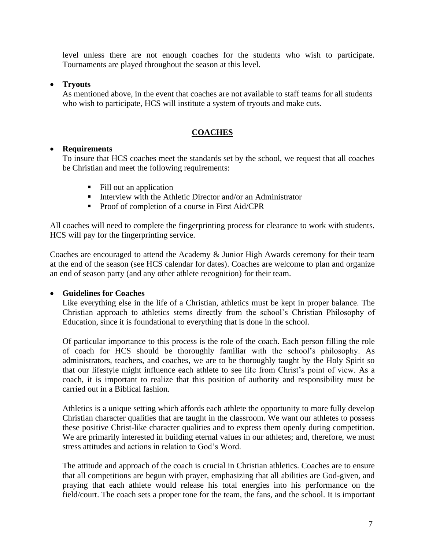level unless there are not enough coaches for the students who wish to participate. Tournaments are played throughout the season at this level.

#### • **Tryouts**

As mentioned above, in the event that coaches are not available to staff teams for all students who wish to participate, HCS will institute a system of tryouts and make cuts.

#### **COACHES**

#### • **Requirements**

To insure that HCS coaches meet the standards set by the school, we request that all coaches be Christian and meet the following requirements:

- Fill out an application
- **■** Interview with the Athletic Director and/or an Administrator
- Proof of completion of a course in First Aid/CPR

All coaches will need to complete the fingerprinting process for clearance to work with students. HCS will pay for the fingerprinting service.

Coaches are encouraged to attend the Academy & Junior High Awards ceremony for their team at the end of the season (see HCS calendar for dates). Coaches are welcome to plan and organize an end of season party (and any other athlete recognition) for their team.

#### • **Guidelines for Coaches**

Like everything else in the life of a Christian, athletics must be kept in proper balance. The Christian approach to athletics stems directly from the school's Christian Philosophy of Education, since it is foundational to everything that is done in the school.

Of particular importance to this process is the role of the coach. Each person filling the role of coach for HCS should be thoroughly familiar with the school's philosophy. As administrators, teachers, and coaches, we are to be thoroughly taught by the Holy Spirit so that our lifestyle might influence each athlete to see life from Christ's point of view. As a coach, it is important to realize that this position of authority and responsibility must be carried out in a Biblical fashion.

Athletics is a unique setting which affords each athlete the opportunity to more fully develop Christian character qualities that are taught in the classroom. We want our athletes to possess these positive Christ-like character qualities and to express them openly during competition. We are primarily interested in building eternal values in our athletes; and, therefore, we must stress attitudes and actions in relation to God's Word.

The attitude and approach of the coach is crucial in Christian athletics. Coaches are to ensure that all competitions are begun with prayer, emphasizing that all abilities are God-given, and praying that each athlete would release his total energies into his performance on the field/court. The coach sets a proper tone for the team, the fans, and the school. It is important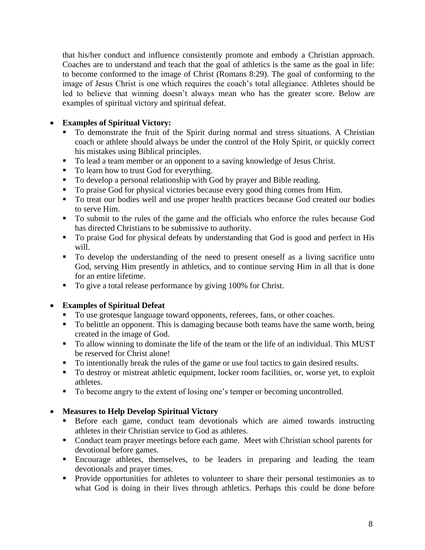that his/her conduct and influence consistently promote and embody a Christian approach. Coaches are to understand and teach that the goal of athletics is the same as the goal in life: to become conformed to the image of Christ (Romans 8:29). The goal of conforming to the image of Jesus Christ is one which requires the coach's total allegiance. Athletes should be led to believe that winning doesn't always mean who has the greater score. Below are examples of spiritual victory and spiritual defeat.

#### • **Examples of Spiritual Victory:**

- To demonstrate the fruit of the Spirit during normal and stress situations. A Christian coach or athlete should always be under the control of the Holy Spirit, or quickly correct his mistakes using Biblical principles.
- To lead a team member or an opponent to a saving knowledge of Jesus Christ.
- To learn how to trust God for everything.
- To develop a personal relationship with God by prayer and Bible reading.
- To praise God for physical victories because every good thing comes from Him.
- To treat our bodies well and use proper health practices because God created our bodies to serve Him.
- To submit to the rules of the game and the officials who enforce the rules because God has directed Christians to be submissive to authority.
- To praise God for physical defeats by understanding that God is good and perfect in His will.
- To develop the understanding of the need to present oneself as a living sacrifice unto God, serving Him presently in athletics, and to continue serving Him in all that is done for an entire lifetime.
- To give a total release performance by giving 100% for Christ.

#### • **Examples of Spiritual Defeat**

- To use grotesque language toward opponents, referees, fans, or other coaches.
- To belittle an opponent. This is damaging because both teams have the same worth, being created in the image of God.
- To allow winning to dominate the life of the team or the life of an individual. This MUST be reserved for Christ alone!
- To intentionally break the rules of the game or use foul tactics to gain desired results.
- To destroy or mistreat athletic equipment, locker room facilities, or, worse yet, to exploit athletes.
- To become angry to the extent of losing one's temper or becoming uncontrolled.

#### • **Measures to Help Develop Spiritual Victory**

- **EXECUTE:** Before each game, conduct team devotionals which are aimed towards instructing athletes in their Christian service to God as athletes.
- Conduct team prayer meetings before each game. Meet with Christian school parents for devotional before games.
- Encourage athletes, themselves, to be leaders in preparing and leading the team devotionals and prayer times.
- Provide opportunities for athletes to volunteer to share their personal testimonies as to what God is doing in their lives through athletics. Perhaps this could be done before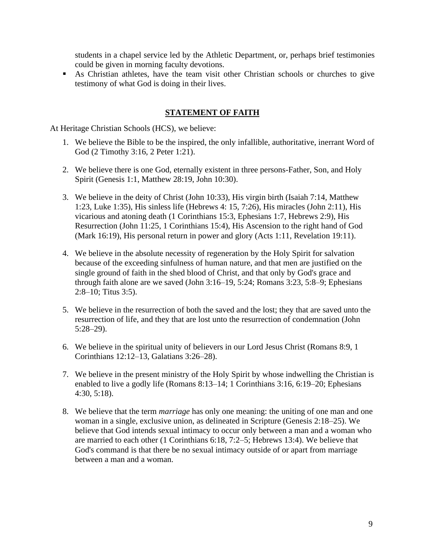students in a chapel service led by the Athletic Department, or, perhaps brief testimonies could be given in morning faculty devotions.

■ As Christian athletes, have the team visit other Christian schools or churches to give testimony of what God is doing in their lives.

#### **STATEMENT OF FAITH**

At Heritage Christian Schools (HCS), we believe:

- 1. We believe the Bible to be the inspired, the only infallible, authoritative, inerrant Word of God (2 Timothy 3:16, 2 Peter 1:21).
- 2. We believe there is one God, eternally existent in three persons-Father, Son, and Holy Spirit (Genesis 1:1, Matthew 28:19, John 10:30).
- 3. We believe in the deity of Christ (John 10:33), His virgin birth (Isaiah 7:14, Matthew 1:23, Luke 1:35), His sinless life (Hebrews 4: 15, 7:26), His miracles (John 2:11), His vicarious and atoning death (1 Corinthians 15:3, Ephesians 1:7, Hebrews 2:9), His Resurrection (John 11:25, 1 Corinthians 15:4), His Ascension to the right hand of God (Mark 16:19), His personal return in power and glory (Acts 1:11, Revelation 19:11).
- 4. We believe in the absolute necessity of regeneration by the Holy Spirit for salvation because of the exceeding sinfulness of human nature, and that men are justified on the single ground of faith in the shed blood of Christ, and that only by God's grace and through faith alone are we saved (John 3:16–19, 5:24; Romans 3:23, 5:8–9; Ephesians 2:8–10; Titus 3:5).
- 5. We believe in the resurrection of both the saved and the lost; they that are saved unto the resurrection of life, and they that are lost unto the resurrection of condemnation (John 5:28–29).
- 6. We believe in the spiritual unity of believers in our Lord Jesus Christ (Romans 8:9, 1 Corinthians 12:12–13, Galatians 3:26–28).
- 7. We believe in the present ministry of the Holy Spirit by whose indwelling the Christian is enabled to live a godly life (Romans 8:13–14; 1 Corinthians 3:16, 6:19–20; Ephesians 4:30, 5:18).
- 8. We believe that the term *marriage* has only one meaning: the uniting of one man and one woman in a single, exclusive union, as delineated in Scripture (Genesis 2:18–25). We believe that God intends sexual intimacy to occur only between a man and a woman who are married to each other (1 Corinthians 6:18, 7:2–5; Hebrews 13:4). We believe that God's command is that there be no sexual intimacy outside of or apart from marriage between a man and a woman.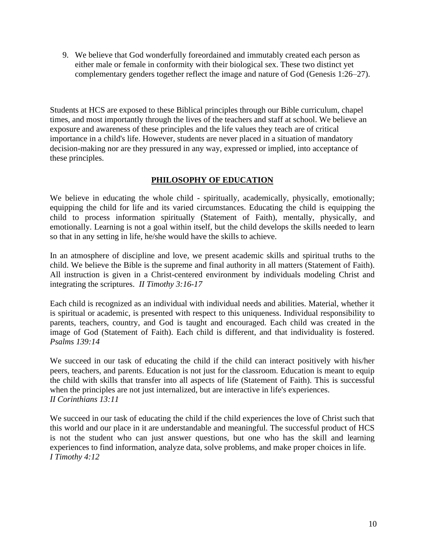9. We believe that God wonderfully foreordained and immutably created each person as either male or female in conformity with their biological sex. These two distinct yet complementary genders together reflect the image and nature of God (Genesis 1:26–27).

Students at HCS are exposed to these Biblical principles through our Bible curriculum, chapel times, and most importantly through the lives of the teachers and staff at school. We believe an exposure and awareness of these principles and the life values they teach are of critical importance in a child's life. However, students are never placed in a situation of mandatory decision-making nor are they pressured in any way, expressed or implied, into acceptance of these principles.

#### **PHILOSOPHY OF EDUCATION**

We believe in educating the whole child - spiritually, academically, physically, emotionally; equipping the child for life and its varied circumstances. Educating the child is equipping the child to process information spiritually (Statement of Faith), mentally, physically, and emotionally. Learning is not a goal within itself, but the child develops the skills needed to learn so that in any setting in life, he/she would have the skills to achieve.

In an atmosphere of discipline and love, we present academic skills and spiritual truths to the child. We believe the Bible is the supreme and final authority in all matters (Statement of Faith). All instruction is given in a Christ-centered environment by individuals modeling Christ and integrating the scriptures. *II Timothy 3:16-17*

Each child is recognized as an individual with individual needs and abilities. Material, whether it is spiritual or academic, is presented with respect to this uniqueness. Individual responsibility to parents, teachers, country, and God is taught and encouraged. Each child was created in the image of God (Statement of Faith). Each child is different, and that individuality is fostered. *Psalms 139:14*

We succeed in our task of educating the child if the child can interact positively with his/her peers, teachers, and parents. Education is not just for the classroom. Education is meant to equip the child with skills that transfer into all aspects of life (Statement of Faith). This is successful when the principles are not just internalized, but are interactive in life's experiences. *II Corinthians 13:11*

We succeed in our task of educating the child if the child experiences the love of Christ such that this world and our place in it are understandable and meaningful. The successful product of HCS is not the student who can just answer questions, but one who has the skill and learning experiences to find information, analyze data, solve problems, and make proper choices in life. *I Timothy 4:12*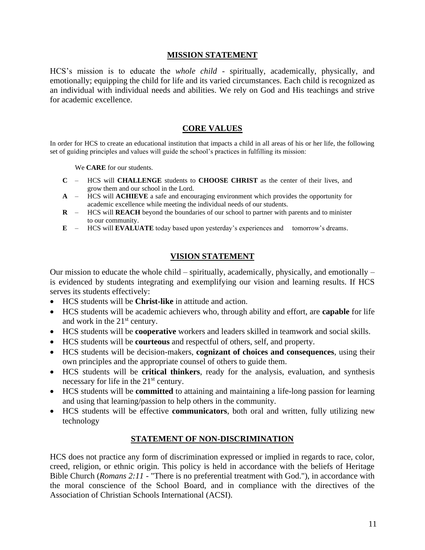#### **MISSION STATEMENT**

HCS's mission is to educate the *whole child* - spiritually, academically, physically, and emotionally; equipping the child for life and its varied circumstances. Each child is recognized as an individual with individual needs and abilities. We rely on God and His teachings and strive for academic excellence.

#### **CORE VALUES**

In order for HCS to create an educational institution that impacts a child in all areas of his or her life, the following set of guiding principles and values will guide the school's practices in fulfilling its mission:

We **CARE** for our students.

- **C** HCS will **CHALLENGE** students to **CHOOSE CHRIST** as the center of their lives, and grow them and our school in the Lord.
- **A** HCS will **ACHIEVE** a safe and encouraging environment which provides the opportunity for academic excellence while meeting the individual needs of our students.
- **R** HCS will **REACH** beyond the boundaries of our school to partner with parents and to minister to our community.
- **E** HCS will **EVALUATE** today based upon yesterday's experiences and tomorrow's dreams.

#### **VISION STATEMENT**

Our mission to educate the whole child – spiritually, academically, physically, and emotionally – is evidenced by students integrating and exemplifying our vision and learning results. If HCS serves its students effectively:

- HCS students will be **Christ-like** in attitude and action.
- HCS students will be academic achievers who, through ability and effort, are **capable** for life and work in the 21st century.
- HCS students will be **cooperative** workers and leaders skilled in teamwork and social skills.
- HCS students will be **courteous** and respectful of others, self, and property.
- HCS students will be decision-makers, **cognizant of choices and consequences**, using their own principles and the appropriate counsel of others to guide them.
- HCS students will be **critical thinkers**, ready for the analysis, evaluation, and synthesis necessary for life in the  $21<sup>st</sup>$  century.
- HCS students will be **committed** to attaining and maintaining a life-long passion for learning and using that learning/passion to help others in the community.
- HCS students will be effective **communicators**, both oral and written, fully utilizing new technology

#### **STATEMENT OF NON-DISCRIMINATION**

HCS does not practice any form of discrimination expressed or implied in regards to race, color, creed, religion, or ethnic origin. This policy is held in accordance with the beliefs of Heritage Bible Church (*Romans 2:11 -* "There is no preferential treatment with God."), in accordance with the moral conscience of the School Board, and in compliance with the directives of the Association of Christian Schools International (ACSI).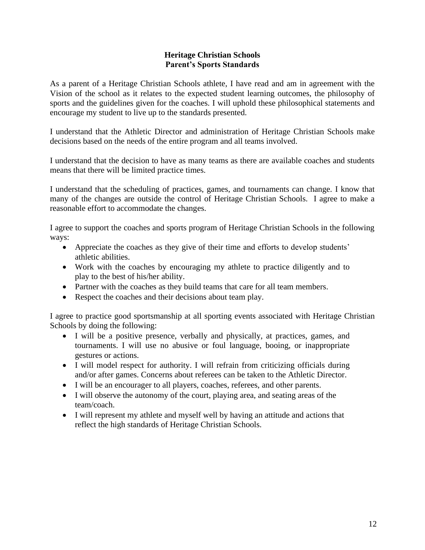#### **Heritage Christian Schools Parent's Sports Standards**

As a parent of a Heritage Christian Schools athlete, I have read and am in agreement with the Vision of the school as it relates to the expected student learning outcomes, the philosophy of sports and the guidelines given for the coaches. I will uphold these philosophical statements and encourage my student to live up to the standards presented.

I understand that the Athletic Director and administration of Heritage Christian Schools make decisions based on the needs of the entire program and all teams involved.

I understand that the decision to have as many teams as there are available coaches and students means that there will be limited practice times.

I understand that the scheduling of practices, games, and tournaments can change. I know that many of the changes are outside the control of Heritage Christian Schools. I agree to make a reasonable effort to accommodate the changes.

I agree to support the coaches and sports program of Heritage Christian Schools in the following ways:

- Appreciate the coaches as they give of their time and efforts to develop students' athletic abilities.
- Work with the coaches by encouraging my athlete to practice diligently and to play to the best of his/her ability.
- Partner with the coaches as they build teams that care for all team members.
- Respect the coaches and their decisions about team play.

I agree to practice good sportsmanship at all sporting events associated with Heritage Christian Schools by doing the following:

- I will be a positive presence, verbally and physically, at practices, games, and tournaments. I will use no abusive or foul language, booing, or inappropriate gestures or actions.
- I will model respect for authority. I will refrain from criticizing officials during and/or after games. Concerns about referees can be taken to the Athletic Director.
- I will be an encourager to all players, coaches, referees, and other parents.
- I will observe the autonomy of the court, playing area, and seating areas of the team/coach.
- I will represent my athlete and myself well by having an attitude and actions that reflect the high standards of Heritage Christian Schools.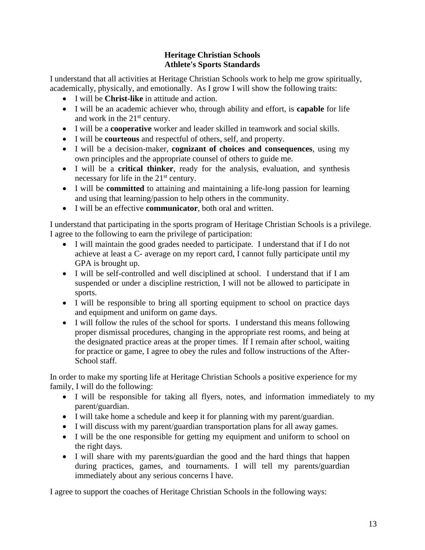#### **Heritage Christian Schools Athlete's Sports Standards**

I understand that all activities at Heritage Christian Schools work to help me grow spiritually, academically, physically, and emotionally. As I grow I will show the following traits:

- I will be **Christ-like** in attitude and action.
- I will be an academic achiever who, through ability and effort, is **capable** for life and work in the  $21<sup>st</sup>$  century.
- I will be a **cooperative** worker and leader skilled in teamwork and social skills.
- I will be **courteous** and respectful of others, self, and property.
- I will be a decision-maker, **cognizant of choices and consequences**, using my own principles and the appropriate counsel of others to guide me.
- I will be a **critical thinker**, ready for the analysis, evaluation, and synthesis necessary for life in the 21<sup>st</sup> century.
- I will be **committed** to attaining and maintaining a life-long passion for learning and using that learning/passion to help others in the community.
- I will be an effective **communicator**, both oral and written.

I understand that participating in the sports program of Heritage Christian Schools is a privilege. I agree to the following to earn the privilege of participation:

- I will maintain the good grades needed to participate. I understand that if I do not achieve at least a C- average on my report card, I cannot fully participate until my GPA is brought up.
- I will be self-controlled and well disciplined at school. I understand that if I am suspended or under a discipline restriction, I will not be allowed to participate in sports.
- I will be responsible to bring all sporting equipment to school on practice days and equipment and uniform on game days.
- I will follow the rules of the school for sports. I understand this means following proper dismissal procedures, changing in the appropriate rest rooms, and being at the designated practice areas at the proper times. If I remain after school, waiting for practice or game, I agree to obey the rules and follow instructions of the After-School staff.

In order to make my sporting life at Heritage Christian Schools a positive experience for my family, I will do the following:

- I will be responsible for taking all flyers, notes, and information immediately to my parent/guardian.
- I will take home a schedule and keep it for planning with my parent/guardian.
- I will discuss with my parent/guardian transportation plans for all away games.
- I will be the one responsible for getting my equipment and uniform to school on the right days.
- I will share with my parents/guardian the good and the hard things that happen during practices, games, and tournaments. I will tell my parents/guardian immediately about any serious concerns I have.

I agree to support the coaches of Heritage Christian Schools in the following ways: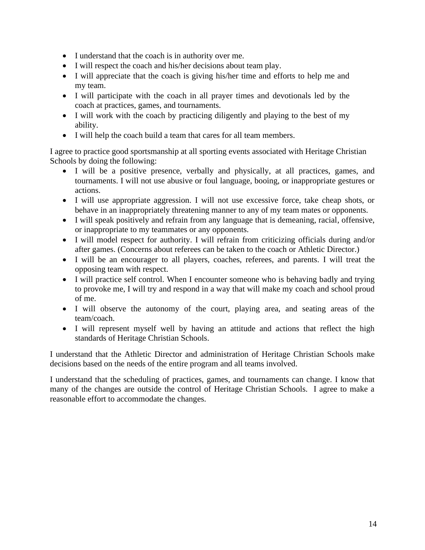- I understand that the coach is in authority over me.
- I will respect the coach and his/her decisions about team play.
- I will appreciate that the coach is giving his/her time and efforts to help me and my team.
- I will participate with the coach in all prayer times and devotionals led by the coach at practices, games, and tournaments.
- I will work with the coach by practicing diligently and playing to the best of my ability.
- I will help the coach build a team that cares for all team members.

I agree to practice good sportsmanship at all sporting events associated with Heritage Christian Schools by doing the following:

- I will be a positive presence, verbally and physically, at all practices, games, and tournaments. I will not use abusive or foul language, booing, or inappropriate gestures or actions.
- I will use appropriate aggression. I will not use excessive force, take cheap shots, or behave in an inappropriately threatening manner to any of my team mates or opponents.
- I will speak positively and refrain from any language that is demeaning, racial, offensive, or inappropriate to my teammates or any opponents.
- I will model respect for authority. I will refrain from criticizing officials during and/or after games. (Concerns about referees can be taken to the coach or Athletic Director.)
- I will be an encourager to all players, coaches, referees, and parents. I will treat the opposing team with respect.
- I will practice self control. When I encounter someone who is behaving badly and trying to provoke me, I will try and respond in a way that will make my coach and school proud of me.
- I will observe the autonomy of the court, playing area, and seating areas of the team/coach.
- I will represent myself well by having an attitude and actions that reflect the high standards of Heritage Christian Schools.

I understand that the Athletic Director and administration of Heritage Christian Schools make decisions based on the needs of the entire program and all teams involved.

I understand that the scheduling of practices, games, and tournaments can change. I know that many of the changes are outside the control of Heritage Christian Schools. I agree to make a reasonable effort to accommodate the changes.